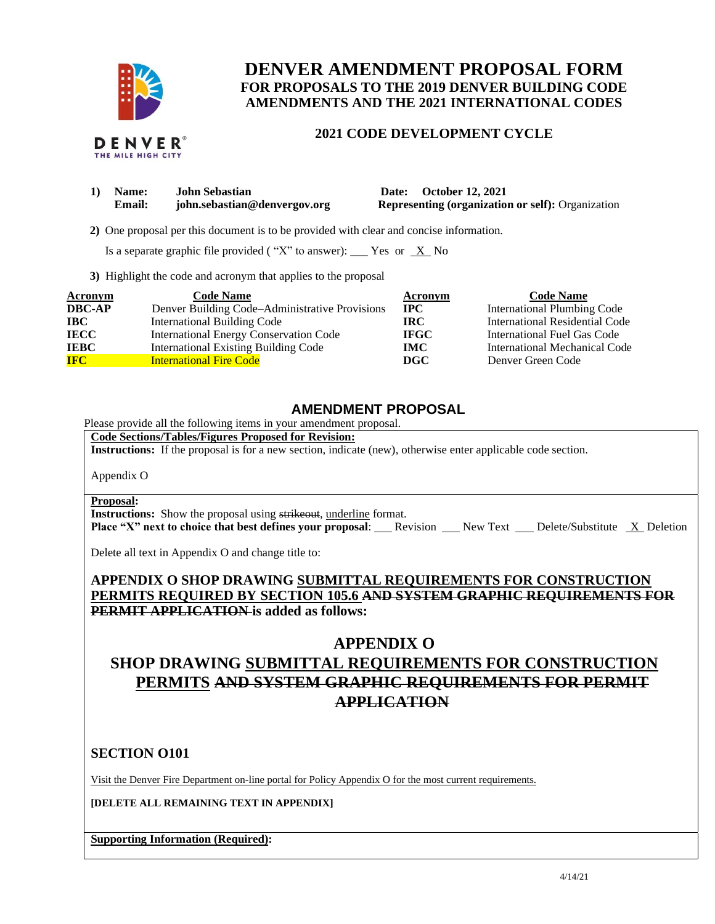

DENVER THE MILE HIGH CITY

## **DENVER AMENDMENT PROPOSAL FORM FOR PROPOSALS TO THE 2019 DENVER BUILDING CODE AMENDMENTS AND THE 2021 INTERNATIONAL CODES**

#### **2021 CODE DEVELOPMENT CYCLE**

| Name:         | John Sebastian               | Date: October 12, 2021                                   |
|---------------|------------------------------|----------------------------------------------------------|
| <b>Email:</b> | john.sebastian@denvergov.org | <b>Representing (organization or self):</b> Organization |

 **2)** One proposal per this document is to be provided with clear and concise information.

Is a separate graphic file provided ("X" to answer): \_\_\_ Yes or  $X$  No

**3)** Highlight the code and acronym that applies to the proposal

| <b>Acronym</b> | <b>Code Name</b>                               | <b>Acronym</b> | <b>Code Name</b>               |
|----------------|------------------------------------------------|----------------|--------------------------------|
| <b>DBC-AP</b>  | Denver Building Code–Administrative Provisions | IPC.           | International Plumbing Code    |
| $\bf IBC$      | <b>International Building Code</b>             | <b>IRC</b>     | International Residential Code |
| <b>IECC</b>    | International Energy Conservation Code         | <b>IFGC</b>    | International Fuel Gas Code    |
| <b>IEBC</b>    | <b>International Existing Building Code</b>    | <b>IMC</b>     | International Mechanical Code  |
| <b>IFC</b>     | <b>International Fire Code</b>                 | DGC            | Denver Green Code              |

### **AMENDMENT PROPOSAL**

Please provide all the following items in your amendment proposal.

**Code Sections/Tables/Figures Proposed for Revision:**

**Instructions:** If the proposal is for a new section, indicate (new), otherwise enter applicable code section.

Appendix O

**Proposal:**

**Instructions:** Show the proposal using strikeout, underline format. **Place "X" next to choice that best defines your proposal:** Revision New Text \_ Delete/Substitute X Deletion

Delete all text in Appendix O and change title to:

**APPENDIX O SHOP DRAWING SUBMITTAL REQUIREMENTS FOR CONSTRUCTION PERMITS REQUIRED BY SECTION 105.6 AND SYSTEM GRAPHIC REQUIREMENTS FOR PERMIT APPLICATION is added as follows:**

# **APPENDIX O SHOP DRAWING SUBMITTAL REQUIREMENTS FOR CONSTRUCTION PERMITS AND SYSTEM GRAPHIC REQUIREMENTS FOR PERMIT APPLICATION**

### **SECTION O101**

Visit the Denver Fire Department on-line portal for Policy Appendix O for the most current requirements.

**[DELETE ALL REMAINING TEXT IN APPENDIX]**

**Supporting Information (Required):**